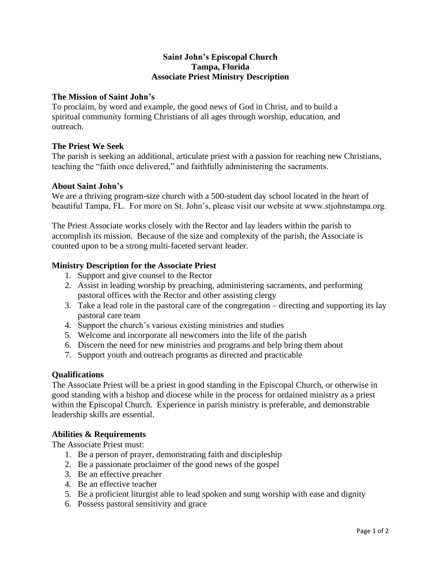## **Saint John's Episcopal Church Tampa, Florida Associate Priest Ministry Description**

## **The Mission of Saint John's**

To proclaim, by word and example, the good news of God in Christ, and to build a spiritual community forming Christians of all ages through worship, education, and outreach.

# **The Priest We Seek**

The parish is seeking an additional, articulate priest with a passion for reaching new Christians, teaching the "faith once delivered," and faithfully administering the sacraments.

# **About Saint John's**

We are a thriving program-size church with a 500-student day school located in the heart of beautiful Tampa, FL. For more on St. John's, please visit our website at www.stjohnstampa.org.

The Priest Associate works closely with the Rector and lay leaders within the parish to accomplish its mission. Because of the size and complexity of the parish, the Associate is counted upon to be a strong multi-faceted servant leader.

# **Ministry Description for the Associate Priest**

- 1. Support and give counsel to the Rector
- 2. Assist in leading worship by preaching, administering sacraments, and performing pastoral offices with the Rector and other assisting clergy
- 3. Take a lead role in the pastoral care of the congregation directing and supporting its lay pastoral care team
- 4. Support the church's various existing ministries and studies
- 5. Welcome and incorporate all newcomers into the life of the parish
- 6. Discern the need for new ministries and programs and help bring them about
- 7. Support youth and outreach programs as directed and practicable

### **Qualifications**

The Associate Priest will be a priest in good standing in the Episcopal Church, or otherwise in good standing with a bishop and diocese while in the process for ordained ministry as a priest within the Episcopal Church. Experience in parish ministry is preferable, and demonstrable leadership skills are essential.

### **Abilities & Requirements**

The Associate Priest must:

- 1. Be a person of prayer, demonstrating faith and discipleship
- 2. Be a passionate proclaimer of the good news of the gospel
- 3. Be an effective preacher
- 4. Be an effective teacher
- 5. Be a proficient liturgist able to lead spoken and sung worship with ease and dignity
- 6. Possess pastoral sensitivity and grace